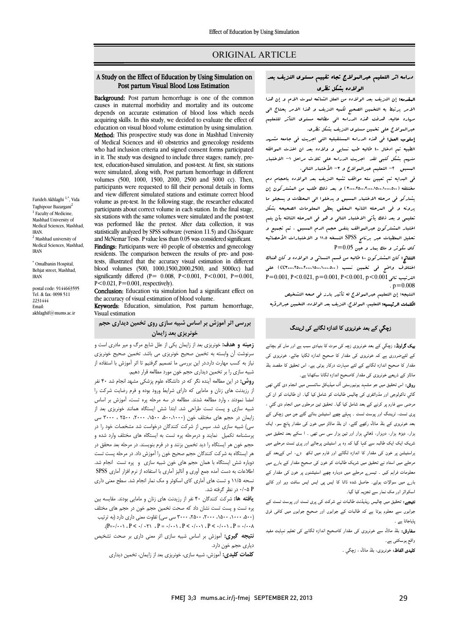## ORIGINAL ARTICLE

### Post partum Visual Blood Loss Estimation A Study on the Effect of Education by Using Simulation on

Ī 

 Background: Post partum hemorrhage is one of the common causes in maternal morbidity and mortality and its outcome depends on accurate estimation of blood loss which needs education on visual blood volume estimation by using simulation. Method: This prospective study was done in Mashhad University or medical sciences and 40 obstetries and gynecology residents<br>who had inclusion criteria and signed consent forms participated in it. The study was designed to include three stages; namely, pre- were simulated, along with, Post partum hemorrhage in different volumes (500, 1000, 1500, 2000, 2500 and 3000 cc). Then, participants were requested to fill their personal details in forms volume as pre-test. In the following stage, the researcher educated participants about correct volume in each station. In the final stage, was performed like the pretest. After data collection, it was statistically analyzed by SPSS software (version 11.5) and Chi-Squar<br>and McNemar Tests. P value less than 0.05 was considered significant. Findings: Participants were 40 people of obstetrics and gynecology residents. The comparison between the results of pre- and post- blood volumes (500, 1000,1500,2000,2500, and 3000cc) had significantly differed ( $P = 0.008$ ,  $P < 0.001$ ,  $P < 0.001$ ,  $P = 0.001$ ,  $P = 0.001$ , acquiring skills. In this study, we decided to evaluate the effect of of Medical Sciences and 40 obstetrics and gynecology residents test, education-based simulation, and post-test. At first, six stations and view different simulated stations and estimate correct blood six stations with the same volumes were simulated and the post-test statistically analyzed by SPSS software (version 11.5) and Chi-Square tests, illustrated that the accuracy visual estimation in different

**Conclusion:** Education via simulation had a significant effect on the accuracy of visual estimation of blood volume.  $P < 0.021$ ,  $P = 0.001$ , respectively).

**Keywords:** Education, simulation, Post partum hemorrhage,<br>Visual estimation Visual estimation

 **بررسی اثر آموزش بر اساس شبیه سازي روي تخمین دیداري حجم خونریزي بعد زایمان**

 **زمینه و هدف:** خونریزي بعد از زایمان یکی از علل شایع مرگ و میر مادري است و سرنوشت آن وابسته به تخمین صحیح خونریزي می باشد. تخمین صحیح خونریزي نیاز به کسب مهارت دارد.در این بررسی ما تصمیم گرفتیم تا اثر آموزش با استفاده از شبیه سازي را بر تخمین دیداري حجم خون مورد مطالعه قرار دهیم.

سبیه سری <sub>(۲۰</sub> و حسین میسری حسیم عون مورد مسعد مورد مسیم.<br>**روش:** در این مطالعه آینده نگر که در دانشگاه علوم پزشکی مشهد انجام شد ۴۰ نفر از رزیدنت هاي زنان و مامایی که داراي شرایط ورود بوده و فرم رضایت شرکت را امضا نمودند ، وارد مطالعه شدند. مطالعه در سه مرحله پره تست، آموزش بر اساس شبیه سازي و پست تست طراحی شد. ابتدا شش ایستگاه همانند خونریزي بعد از زایمان در حجم های مختلف خون (۵۰۰،۱۵۰۰، ۵۰۰،۱۵۰۰ ،۲۵۰۰ سی<br>مردمان است. سی) مبید سازی سد. مپس از سرعت عصدین در تواست سد سماعت ت خود زا در<br>پرسشنامه تکمیل آنمایند و درمرحله پره تست به ایستگاه های مختلف وارد شده و حجم خون هر ایستگاه را دید تخمین بزنند و در فرم بنویسند. در مرحله بعد محقق در هر ایستگاه به شرکت کنندگان حجم صحیح خون را آموزش داد. در مرحله پست تست دوباره شش ایستگاه با همان حجم هاي خون شبیه سازي و پره تست انجام شد. اطلاعات به دست آمده جمع آوري و آنالیز آماري با استفاده از نرم افزار آماري SPSS نسحه ۱۱/۵ و تست های آماری کای اسکوئر و مک نمار انجام شد. سطح معنی داری<br>۵ ۰/۰۵ د. نظ گ فته شد. سی) شبیه سازي شد. سپس از شرکت کنندگان درخواست شد مشخصات خود را در P 0/05 در نظر گرفته شد.

 **یافته ها:** شرکت کنندگان 40 نفر از رزیدنت هاي زنان و مامایی بودند. مقایسه بین پره تست و پست تست نشان داد که صحت تخمین حجم خون در حجم هاي مختلف (،500 ،1000 ،1500 ،2000 ،2500 3000 سی سی) تفاوت معنی داري دارد (به ترتیب .(P= $\cdot/\cdot$ ) ، P <  $\cdot/\cdot$  , Y)  $P = \cdot/\cdot \cdot$  , P <  $\cdot/\cdot \cdot$  , P <  $\cdot/\cdot \cdot$  , P =  $\cdot/\cdot \cdot \wedge$ 

.<br>. **نتیجه گیري:** آموزش بر اساس شبیه سازي اثر معنی داري بر صحت تشخیص دیاري حجم خون دارد.

**کلمات کلیدي:** آموزش، شبیه سازي، خونریزي بعد از زایمان، تخمین دیداري

## دراسه اثر التعلیم عبرالمولاج تجاه تقییم مستوي النزیف بعد الولاده بشکل نظري

Ī ֦

المقدمه: إن النزیف بعد الولاده من العلل الشائعه لموت الام و إن هذا<br>. الامر یرتبط به التخمین الصحیح لکمیه النزیف و هذا الامر یحتاج الی عبر -<br>عبرالبولاج علی تخبین مستوى النزیف بشکل نظری. مهاره عالیه. هدفت هذه الدراسه الی مطالعه مستوي التأثر للتعلیم

 إسلوب العمل: فی هذه الدراسه المستقبلیه التی اجریت فی جامعه مشهد الطبیه تم ادخال 40 طالبه طب نسایی و ولاده بعد ان اخذت الموافقه منهم بشکل کتبی لقد اجریت الدراسه علی ثلاث مراحل -1 الاختبار المسبق - 7 التعلیم عبرالمولاج و ٣– الأختبار التالی.

 فی البدایه تم تعیین سته مواقف تشبه النزیف بعد الولاده باحجام دم مختلفه (3000،2500،2000،1500،1000،500) و بعد ذلک طلب من المشترکون إن یشارکو فی مرحله الاختبار المسبق و یدخلوا الی المحطات و یسجلو ما یرونه و فی المرحله الثانیه المحقق یعطی المعلومات الصحیحه بشکل سبقی و بعد سے پس کے سبور سبق و کو کی سور سے سفید ہیں ہم<br>اختبار المشترکون عبرالمواقف بنفس حجم الدم المسبق . تم تجمیع و تحلیل المعطیات عبر برنامج SPSS النسخه 11.5 و الاختبارات الأحصائیه کاي سکوئر و مک بمار و عین 0.05=P تعلیمی و بعد ذلک یأتی الاختبار التالی و هو فی المرحله الثالثه بأن یتم

 النتائج: کان المشترکون 40 طالبه من قسم النسائی و الولاده و کان هناك اختلاف واض<sub>ح</sub> فی تخمین نسب ( .......۱۰۰،۱۰۰،۱۰۰،۱۵۰۰،۲۵۰۰،۲۵۰۰) علی P=0.001, P<0.021, p=0.001, P<0.001, p<0.001تالی الترتیب  $. p=0.008$ 

P—0.000 .<br>النتیجه: إن التعلیم عبرالمولاج له تأثیر بارز فی صحه التشخیص الکلمات الرئیسیه: التعلیم، المولاج، النزیف بعد الولاده، التخمین عبرالرؤیه

# زچگي کے بعد خونریزی کا اندازہ لگانے ک*ی* ٹریننگ<br>۔

**یک گراونڈ:** زچگی کے بعد خونریزی زچہ کی موت کا بنیادی سبب ہے اور ماں کو بچانے کے لئےضروری ہے کہ خونریزی کی مقدار کا صحیح اندازہ لگایا جائے، خونریزی کی مقدار کا صحیح اندازہ لگانے کے لئے مہارت درکار ہوتی ہے، اس تحقیق کا مقصد بلڈ ماڈلز کے ذریعے خونریزی کی مقدار کاصحیح اندازہ لگانا سکھانا ہے۔

ر**وش:** اس تحقيق ميں جو مشہد يونيورسٹی آف ميڈيکل سائنسس ميں انجام دی گئي تھی<br>. ںبی ناتونوجی اور سروانٹری نی چاہیس جانیات تو سامل ہیا ہیا۔ ان جانیات تو ان نی<br>مرضی سے فارم پر کرنے کے بعد شامل کیا گیا۔ تحقیق تین مرحلوں میں انجام دی گئی ، ی ، اور ۔ ا ز ۔ .<br>بعد خونریزی کے بلڈ ماڈل رکھے گئے، ان بلڈ ماڈلز میں خون کی مقدار پانچ سو، ایک .<br>زار، دیڑہ ہزار، دوہزار، ڈھائی ہزار اور تین ہزار سی سی تھی ۔ ا سکے بعد تحقیق میں شریک ایک ایک طالبہ سے کہا گیا کہ وہ ہر اسٹیشن پرجائے اور پری ٹسٹ مرحلے میں راسٹیشن پر خون کی مقدار کا اندازہ لگائے اور فارم میں لکھ دے، اس کےبعد کے مرحلے میں استاد نے تحقیق میں شریک طالبات کو خون کی صحیح مقدار کے بارے میں<br>. معلومات فراہم کیں ۔ تیسرے مرحلے میں دوبارہ چھے اسٹیشنوں پر خون کی مقدار کے<br>. ۔<br>ارے میں سوالات ہوئے۔ حاصل شدہ ڈاٹا کا ایس پی ایس ایس سافٹ ویر اور کائے<br>اسے امامہ کے مطابقہ میں کیا گائی ناکولوجی اور مڈوائفری کی چالیس طالبات کو شامل کیا گیا۔ ان طالبات کو ان کی اسکوائر اور مک نمار سے تجزیہ کیا گیا۔

ر ر <sub>ص</sub> ر س سے دیں۔<br>**تیجے:** تحقیق میں چالیس ریذیڈنٹ طالبات نے شرکت کی پری ٹسٹ اور پوسٹ ٹسٹ کے ۔<br>بوابوں سے معلوم ہوتا ہے کہ طالبات کے جوابوں اور صحیح جوابوں میں کافی فرق پایاجاتا ہے ۔

**سفارش:** بلڈ ماڈل سے خونریزی کی مقدار کاصحیح اندازہ لگانے کی تعلیم نہایت مفید واقع ہوسکتی ہے۔

**كليدى الفاظ:** خونريزى، بلڈ ماڈل ، زچگي ۔<br>

Farideh Akhlaghi 1,\*, Vida Taghipour Bazargani<sup>2</sup> <sup>1</sup> Faculty of Medicine, Mashhad University of Medical Sciences, Mashhad, IRAN. <sup>2</sup> Mashhad university of Medical Sciences, Mashhad, IRAN

\* Omalbanin Hospital, Behjat street, Mashhad, IRAN

postal code: 9144663595 Tel. & fax: 0098 511 2231444 Email: akhlaghif@mums.ac.ir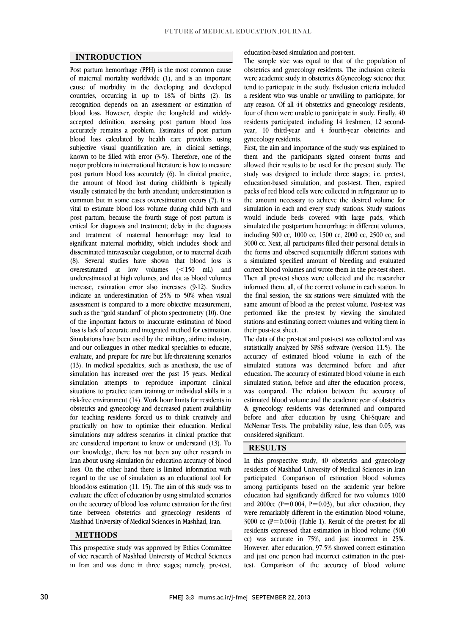$\overline{a}$  $\overline{a}$ 

## **INTRODUCTION**

 Post partum hemorrhage (PPH) is the most common cause of maternal mortality worldwide (1), and is an important countries, occurring in up to 18% of births (2). Its recognition depends on an assessment or estimation of blood loss. However, despite the long-held and widely- accepted definition, assessing post partum blood loss blood loss calculated by health care providers using subjective visual quantification are, in clinical settings, known to be filled with error (3-5). Therefore, one of the major problems in international itterature is now to measure<br>post partum blood loss accurately (6). In clinical practice, the amount of blood lost during childbirth is typically visually estimated by the birth attendant; underestimation is common but in some cases overestimation occurs (7). It is vital to estimate blood loss volume during child birth and critical for diagnosis and treatment; delay in the diagnosis and treatment of maternal hemorrhage may lead to significant maternal morbidity, which includes shock and (8). Several studies have shown that blood loss is overestimated at low volumes  $(<150$  mL) and underestimated at high volumes, and that as blood volumes increase, estimation error also increases (9-12). Studies assessment is compared to a more objective measurement, such as the "gold standard" of photo spectrometry (10). One of the important factors to inaccurate estimation of blood loss is lack of accurate and integrated method for estimation. and our colleagues in other medical specialties to educate, evaluate, and prepare for rare but life-threatening scenarios (13). In medical specialties, such as anesthesia, the use of simulation has increased over the past 15 years. Medical situations to practice team training or individual skills in a risk-free environment (14). Work hour limits for residents in obstetrics and gynecology and decreased patient availability practically on how to optimize their education. Medical simulations may address scenarios in clinical practice that are considered important to know or understand (13). To our knowledge, there has not been any other research in Iran about using simulation for education accuracy of blood<br>loss. On the other hand there is limited information with regard to the use of simulation as an educational tool for blood-loss estimation (11, 15). The aim of this study was to evaluate the effect of education by using simulated scenarios ວ<br>ົ cause of morbidity in the developing and developed accurately remains a problem. Estimates of post partum major problems in international literature is how to measure post partum, because the fourth stage of post partum is disseminated intravascular coagulation, or to maternal death indicate an underestimation of 25% to 50% when visual Simulations have been used by the military, airline industry, simulation attempts to reproduce important clinical for teaching residents forced us to think creatively and Iran about using simulation for education accuracy of blood on the accuracy of blood loss volume estimation for the first time between obstetrics and gynecology residents of Mashhad University of Medical Sciences in Mashhad, Iran.

## **METHODS**

This prospective study was approved by Ethics Committee of vice research of Mashhad University of Medical Sciences in Iran and was done in three stages; namely, pre-test,

#### education-based simulation and post-test.

The sample size was equal to that of the population of obstetrics and gynecology residents. The inclusion criteria were academic study in obstetrics &Gynecology science that a resident who was unable or unwilling to participate, for any reason. Of all 44 obstetrics and gynecology residents, four of them were unable to participate in study. Finally, 40 residents participated, including 14 freshmen, 12 second- year, 10 third-year and 4 fourth-year obstetrics and tend to participate in the study. Exclusion criteria included gynecology residents.

 First, the aim and importance of the study was explained to them and the participants signed consent forms and study was designed to include three stages; i.e. pretest, education-based simulation, and post-test. Then, expired packs of red blood cells were collected in refrigerator up to the amount necessary to achieve the desired volume for simulation in each and every study stations. Study stations<br>would include beds covered with large pads, which simulated the postpartum hemorrhage in different volumes, including 500 cc, 1000 cc, 1500 cc, 2000 cc, 2500 cc, and 3000 cc. Next, all participants filled their personal details in a simulated specified amount of bleeding and evaluated correct blood volumes and wrote them in the pre-test sheet. Then all pre-test sheets were collected and the researcher informed them, all, of the correct volume in each station. In same amount of blood as the pretest volume. Post-test was performed like the pre-test by viewing the simulated stations and estimating correct volumes and writing them in allowed their results to be used for the present study. The simulation in each and every study stations. Study stations the forms and observed sequentially different stations with the final session, the six stations were simulated with the their post-test sheet.

 The data of the pre-test and post-test was collected and was statistically analyzed by SPSS software (version 11.5). The accuracy of estimated blood volume in each of the simulated stations was determined before and after simulated station, before and after the education process, was compared. The relation between the accuracy of estimated blood volume and the academic year of obstetrics & gynecology residents was determined and compared McNemar Tests. The probability value, less than 0.05, was education. The accuracy of estimated blood volume in each before and after education by using Chi-Square and considered significant.

j

### **RESULTS**

In this prospective study, 40 obstetrics and gynecology residents of Mashhad University of Medical Sciences in Iran participated. Comparison of estimation blood volumes among participants based on the academic year before education had significantly differed for two volumes 1000 were remarkably different in the estimation blood volume, 3000 cc  $(P=0.004)$  (Table 1). Result of the pre-test for all residents expressed that estimation in blood volume (500 cc) was accurate in 75%, and just incorrect in 25%. and just one person had incorrect estimation in the post- test. Comparison of the accuracy of blood volume and 2000cc ( $P=0.004$ ,  $P=0.03$ ), but after education, they However, after education, 97.5% showed correct estimation

I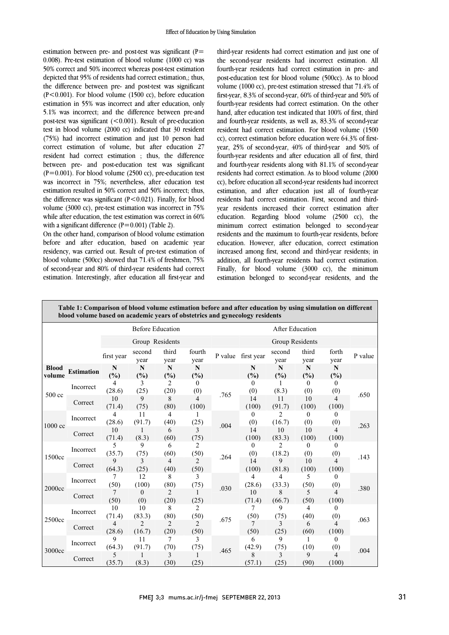estimation between pre- and post-test was significant  $(P=$  0.008). Pre-test estimation of blood volume (1000 cc) was 50% correct and 50% incorrect whereas post-test estimation depicted that 95% of residents had correct estimation,; thus,  $(P<0.001)$ . For blood volume (1500 cc), before education estimation in 55% was incorrect and after education, only 5.1% was incorrect; and the difference between pre-and post-test was significant (<0.001), result of pre-education<br>test in blood volume (2000 cc) indicated that 30 resident (75%) had incorrect estimation and just 10 person had correct estimation of volume, but after education 27 resident had correct estimation ; thus, the difference  $(10^{-10} - 1)$ . For blood volume (2500 cc), pre-education test  $(2500 \text{ cc})$ , pre-education test was incorrect in 75%; nevertheless, after education test estimation resulted in 50% correct and 50% incorrect; thus, the difference was significant  $(P<0.021)$ . Finally, for blood while after education, the test estimation was incorrect in  $\frac{7}{8}$  while after education, the test estimation was correct in 60% the difference between pre- and post-test was significant post-test was significant  $(<0.001$ ). Result of pre-education between pre- and post-education test was significant volume (3000 cc), pre-test estimation was incorrect in 75% with a significant difference ( $P=0.001$ ) (Table 2).

 On the other hand, comparison of blood volume estimation before and after education, based on academic year blood volume (500cc) showed that 71.4% of freshmen, 75% of second-year and 80% of third-year residents had correct estimation. Interestingly, after education all first-year and residency, was carried out. Result of pre-test estimation of

 third-year residents had correct estimation and just one of the second-year residents had incorrect estimation. All fourth-year residents had correct estimation in pre- and post-education test for blood volume (500cc). As to blood first-year, 8.3% of second-year, 60% of third-year and 50% of hand, after education test indicated that 100% of first, third resident had correct estimation. For blood volume (1500 cc), correct estimation before education were 64.3% of first- year, 25% of second-year, 40% of third-year and 50% of fourth-year residents and after education all of first, third residents had correct estimation. As to blood volume (2000 cc), before education all second-year residents had incorrect estimation, and after education just all of fourth-year residents had correct estimation. First, second and third- education. Regarding blood volume (2500 cc), the minimum correct estimation belonged to second-year residents and the maximum to fourth-year residents, before education. However, after education, correct estimation addition, all fourth-year residents had correct estimation. Finally, for blood volume (3000 cc), the minimum estimation belonged to second-year residents, and the volume (1000 cc), pre-test estimation stressed that 71.4% of fourth-year residents had correct estimation. On the other and fourth-year residents, as well as, 83.3% of second-year and fourth-year residents along with 81.1% of second-year year residents increased their correct estimation after increased among first, second and third-year residents; in

| Table 1: Comparison of blood volume estimation before and after education by using simulation on different<br>blood volume based on academic years of obstetrics and gynecology residents |                   |                    |                 |                |                |                 |                    |                |                |                       |         |  |  |
|-------------------------------------------------------------------------------------------------------------------------------------------------------------------------------------------|-------------------|--------------------|-----------------|----------------|----------------|-----------------|--------------------|----------------|----------------|-----------------------|---------|--|--|
| <b>Before Education</b>                                                                                                                                                                   |                   |                    |                 |                |                |                 |                    |                |                |                       |         |  |  |
|                                                                                                                                                                                           |                   |                    |                 |                |                | After Education |                    |                |                |                       |         |  |  |
|                                                                                                                                                                                           |                   | Group Residents    |                 |                |                |                 | Group Residents    |                |                |                       |         |  |  |
|                                                                                                                                                                                           |                   | first year         | second<br>year  | third<br>year  | fourth<br>year |                 | P value first year | second<br>year | third<br>year  | forth<br>year         | P value |  |  |
| <b>Blood</b><br>volume                                                                                                                                                                    | <b>Estimation</b> | N<br>$\frac{6}{2}$ | N<br>(%)        | N<br>(%)       | N<br>(%)       |                 | N<br>(%)           | N<br>(%)       | N<br>(%)       | N<br>(%)              |         |  |  |
|                                                                                                                                                                                           | Incorrect         | $\overline{4}$     | 3               | 2              | $\theta$       | .765            | $\Omega$           | 1              | $\theta$       | $\theta$              | .650    |  |  |
| $500 \text{ cc}$                                                                                                                                                                          |                   | (28.6)             | (25)            | (20)           | (0)            |                 | (0)                | (8.3)          | (0)            | (0)                   |         |  |  |
|                                                                                                                                                                                           | Correct           | 10                 | 9               | 8              | $\overline{4}$ |                 | 14                 | 11             | 10             | 4                     |         |  |  |
|                                                                                                                                                                                           |                   | (71.4)             | (75)            | (80)           | (100)          |                 | (100)              | (91.7)         | (100)          | (100)                 |         |  |  |
|                                                                                                                                                                                           | <b>Incorrect</b>  | $\overline{4}$     | 11              | 4              | 1              | .004            | $\theta$           | 2              | $\theta$       | $\theta$              | .263    |  |  |
| $1000 \text{ cc}$                                                                                                                                                                         |                   | (28.6)             | (91.7)          | (40)           | (25)           |                 | (0)                | (16.7)         | (0)            | (0)                   |         |  |  |
|                                                                                                                                                                                           | Correct           | 10                 | 1               | 6              | $\mathcal{E}$  |                 | 14                 | 10             | 10             | $\overline{4}$        |         |  |  |
|                                                                                                                                                                                           |                   | (71.4)             | (8.3)           | (60)           | (75)           |                 | (100)              | (83.3)         | (100)          | (100)                 |         |  |  |
|                                                                                                                                                                                           | Incorrect         | 5                  | 9               | 6              | 2              | .264            | $\theta$           | $\mathfrak{D}$ | $\theta$       | $\mathbf{0}$          | .143    |  |  |
| 1500cc                                                                                                                                                                                    |                   | (35.7)             | (75)            | (60)           | (50)           |                 | (0)                | (18.2)         | (0)            | (0)                   |         |  |  |
|                                                                                                                                                                                           | Correct           | 9                  | 3               | 4              | $\mathcal{L}$  |                 | 14                 | 9              | 10             | 4                     |         |  |  |
|                                                                                                                                                                                           |                   | (64.3)             | (25)            | (40)           | (50)           |                 | (100)              | (81.8)         | (100)          | (100)                 |         |  |  |
|                                                                                                                                                                                           | Incorrect         | 7                  | 12              | 8              | 3              | .030            | $\overline{4}$     | 4              | 5              | 0                     | .380    |  |  |
| 2000cc                                                                                                                                                                                    |                   | (50)<br>7          | (100)           | (80)           | (75)           |                 | (28.6)<br>10       | (33.3)         | (50)           | (0)<br>$\overline{4}$ |         |  |  |
|                                                                                                                                                                                           | Correct           | (50)               | $\theta$<br>(0) | 2<br>(20)      | 1<br>(25)      |                 | (71.4)             | 8<br>(66.7)    | 5<br>(50)      | (100)                 |         |  |  |
|                                                                                                                                                                                           | Incorrect         | 10                 | 10              | 8              | 2              |                 | 7                  | 9              | $\overline{4}$ | $\theta$              | .063    |  |  |
|                                                                                                                                                                                           |                   | (71.4)             | (83.3)          | (80)           | (50)           |                 | (50)               | (75)           | (40)           | (0)                   |         |  |  |
| 2500cc                                                                                                                                                                                    | Correct           | $\overline{4}$     | $\mathfrak{D}$  | $\mathfrak{D}$ | $\mathfrak{D}$ | .675            | 7                  | 3              | 6              | $\overline{4}$        |         |  |  |
|                                                                                                                                                                                           |                   | (28.6)             | (16.7)          | (20)           | (50)           |                 | (50)               | (25)           | (60)           | (100)                 |         |  |  |
|                                                                                                                                                                                           | Incorrect         | 9                  | 11              | 7              | 3              |                 | 6                  | 9              | 1              | 0                     | .004    |  |  |
|                                                                                                                                                                                           |                   | (64.3)             | (91.7)          | (70)           | (75)           | .465            | (42.9)             | (75)           | (10)           | (0)                   |         |  |  |
| 3000cc                                                                                                                                                                                    | Correct           | 5                  | 1               | 3              | 1              |                 | 8                  | 3              | 9              | 4                     |         |  |  |
|                                                                                                                                                                                           |                   | (35.7)             | (8.3)           | (30)           | (25)           |                 | (57.1)             | (25)           | (90)           | (100)                 |         |  |  |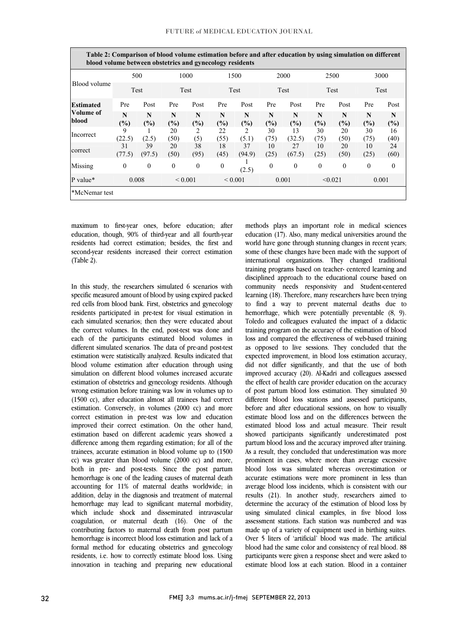| Table 2: Comparison of blood volume estimation before and after education by using simulation on different<br>blood volume between obstetrics and gynecology residents |              |                    |                  |            |              |              |            |              |            |            |            |            |
|------------------------------------------------------------------------------------------------------------------------------------------------------------------------|--------------|--------------------|------------------|------------|--------------|--------------|------------|--------------|------------|------------|------------|------------|
|                                                                                                                                                                        | 500          |                    | 1000             |            | 1500         |              | 2000       |              | 2500       |            | 3000       |            |
| Blood volume                                                                                                                                                           | Test         |                    | Test             |            | <b>Test</b>  |              | Test       |              | Test       |            | Test       |            |
| <b>Estimated</b>                                                                                                                                                       | Pre          | Post               | Pre              | Post       | Pre          | Post         | Pre        | Post         | Pre        | Post       | Pre        | Post       |
| <b>Volume of</b><br>blood                                                                                                                                              | N<br>(%)     | N<br>$\frac{1}{2}$ | N<br>(%)         | N<br>(%)   | N<br>(%)     | N<br>(%)     | N<br>(%)   | N<br>(%)     | N<br>(%)   | N<br>(%)   | N<br>(%)   | N<br>(%)   |
| Incorrect                                                                                                                                                              | 9<br>(22.5)  | (2.5)              | 20<br>(50)       | 2<br>(5)   | 22<br>(55)   | 2<br>(5.1)   | 30<br>(75) | 13<br>(32.5) | 30<br>(75) | 20<br>(50) | 30<br>(75) | 16<br>(40) |
| correct                                                                                                                                                                | 31<br>(77.5) | 39<br>(97.5)       | 20<br>(50)       | 38<br>(95) | 18<br>(45)   | 37<br>(94.9) | 10<br>(25) | 27<br>(67.5) | 10<br>(25) | 20<br>(50) | 10<br>(25) | 24<br>(60) |
| Missing                                                                                                                                                                | $\theta$     | $\theta$           | $\boldsymbol{0}$ | $\theta$   | $\theta$     | (2.5)        | $\theta$   | $\theta$     | $\theta$   | $\Omega$   | $\theta$   | 0          |
| P value*                                                                                                                                                               | 0.008        |                    | ${}_{0.001}$     |            | ${}_{0.001}$ |              | 0.001      |              | < 0.021    |            | 0.001      |            |
| *McNemar test                                                                                                                                                          |              |                    |                  |            |              |              |            |              |            |            |            |            |

 maximum to first-year ones, before education; after education, though, 90% of third-year and all fourth-year residents had correct estimation; besides, the first and second-year residents increased their correct estimation (Table 2). (Table 2).

 In this study, the researchers simulated 6 scenarios with red cells from blood bank. First, obstetrics and gynecology residents participated in pre-test for visual estimation in each simulated scenarios; then they were educated about the correct volumes. In the end, post-test was done and different simulated scenarios. The data of pre-and post-test estimation were statistically analyzed. Results indicated that blood volume estimation after education through using simulation on different blood volumes increased accurate (1500 cc), after education almost all trainees had correct estimation. Conversely, in volumes (2000 cc) and more improved their correct estimation. On the other hand, estimation based on different academic years showed a difference among them regarding estimation; for all of the trainees, accurate estimation in blood volume up to (1500 both in pre- and post-tests. Since the post partum hemorrhage is one of the leading causes of maternal death accounting for 11% of maternal deaths worldwide; in addition, delay in the diagnosis and treatment of maternal which include shock and disseminated intravascular coagulation, or maternal death (16). One of the contributing factors to maternal death from post partum hemorrhage is incorrect blood loss estimation and lack of a residents, i.e. how to correctly estimate blood loss. Using innovation in teaching and preparing new educational specific measured amount of blood by using expired packed each of the participants estimated blood volumes in estimation of obstetrics and gynecology residents. Although wrong estimation before training was low in volumes up to correct estimation in pre-test was low and education cc) was greater than blood volume (2000 cc) and more, hemorrhage may lead to significant maternal morbidity, formal method for educating obstetrics and gynecology

 methods plays an important role in medical sciences education (17). Also, many medical universities around the world have gone through stunning changes in recent years; international organizations. They changed traditional training programs based on teacher- centered learning and disciplined approach to the educational course based on community needs responsivity and Student-centered to find a way to prevent maternal deaths due to hemorrhage, which were potentially preventable (8, 9). Toledo and colleagues evaluated the impact of a didactic training program on the accuracy of the estimation of blood as opposed to live sessions. They concluded that the expected improvement, in blood loss estimation accuracy, did not differ significantly, and that the use of both improved accuracy (20). Al-Kadri and colleagues assessed of post partum blood loss estimation. They simulated 30 different blood loss stations and assessed participants, before and after educational sessions, on how to visually estimated blood loss and actual measure. Their result showed participants significantly underestimated post partum blood loss and the accuracy improved after training. As a result, they concluded that underestimation was more blood loss was simulated whereas overestimation or accurate estimations were more prominent in less than average blood loss incidents, which is consistent with our results (21). In another study, researchers aimed to using simulated clinical examples, in five blood loss by assessment stations. Each station was numbered and was made up of a variety of equipment used in birthing suites. Over 5 liters of 'artificial' blood was made. The artificial participants were given a response sheet and were asked to estimate blood loss at each station. Blood in a container some of these changes have been made with the support of learning (18). Therefore, many researchers have been trying loss and compared the effectiveness of web-based training the effect of health care provider education on the accuracy estimate blood loss and on the differences between the prominent in cases, where more than average excessive determine the accuracy of the estimation of blood loss by blood had the same color and consistency of real blood. 88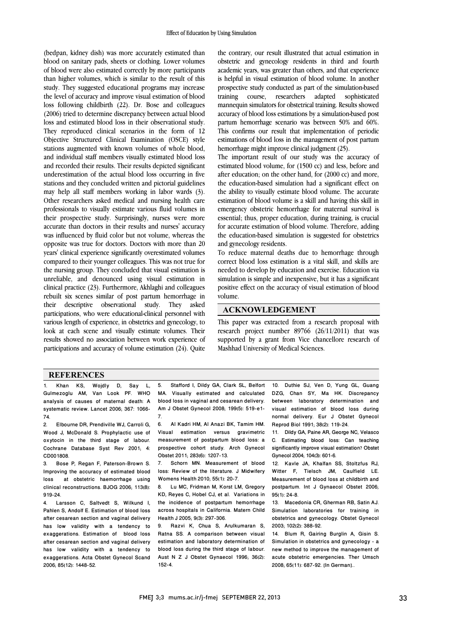#### Effect of Education by Using Simulation

(bedpan, kidney dish) was more accurately estimated than blood on sanitary pads, sheets or clothing. Lower volumes of blood were also estimated correctly by more participants than higher volumes, which is similar to the result of this study. They suggested educational programs may increase the level of accuracy and improve visual estimation of blood loss following childbirth (22). Dr. Bose and colleagues (2006) tried to determine discrepancy between actual blood loss and estimated blood loss in their observational study. They reproduced clinical scenarios in the form of 12 Objective Structured Clinical Examination (OSCE) style stations augmented with known volumes of whole blood, and individual staff members visually estimated blood loss and recorded their results. Their results depicted significant underestimation of the actual blood loss occurring in five stations and they concluded written and pictorial guidelines may help all staff members working in labor wards (3). Other researchers asked medical and nursing health care professionals to visually estimate various fluid volumes in their prospective study. Surprisingly, nurses were more accurate than doctors in their results and nurses' accuracy was influenced by fluid color but not volume, whereas the opposite was true for doctors. Doctors with more than 20 years' clinical experience significantly overestimated volumes compared to their younger colleagues. This was not true for the nursing group. They concluded that visual estimation is unreliable, and denounced using visual estimation in clinical practice (23). Furthermore, Akhlaghi and colleagues rebuilt six scenes similar of post partum hemorrhage in their descriptive observational study. They asked participations, who were educational-clinical personnel with various length of experience, in obstetrics and gynecology, to look at each scene and visually estimate volumes. Their results showed no association between work experience of participations and accuracy of volume estimation (24). Quite the contrary, our result illustrated that actual estimation in obstetric and gynecology residents in third and fourth academic years, was greater than others, and that experience is helpful in visual estimation of blood volume. In another prospective study conducted as part of the simulation-based training course, researchers adapted sophisticated mannequin simulators for obstetrical training. Results showed accuracy of blood loss estimations by a simulation-based post partum hemorrhage scenario was between 50% and 60%. This confirms our result that implementation of periodic estimations of blood loss in the management of post partum hemorrhage might improve clinical judgment (25).

The important result of our study was the accuracy of estimated blood volume, for (1500 cc) and less, before and after education; on the other hand, for (2000 cc) and more, the education-based simulation had a significant effect on the ability to visually estimate blood volume. The accurate estimation of blood volume is a skill and having this skill in emergency obstetric hemorrhage for maternal survival is essential; thus, proper education, during training, is crucial for accurate estimation of blood volume. Therefore, adding the education-based simulation is suggested for obstetrics and gynecology residents.

To reduce maternal deaths due to hemorrhage through correct blood loss estimation is a vital skill, and skills are needed to develop by education and exercise. Education via simulation is simple and inexpensive, but it has a significant positive effect on the accuracy of visual estimation of blood volume.

## **ACKNOWLEDGEMENT**

This paper was extracted from a research proposal with research project number 89766 (26/11/2011) that was supported by a grant from Vice chancellore research of Mashhad University of Medical Sciences.

### **REFERENCES**

Khan KS, Woidly D, Say L, Gulmezoglu AM, Van Look PF. WHO analysis of causes of maternal death: A systematic review. Lancet 2006; 367: 1066- 74.

2. Elbourne DR, Prendiville WJ, Carroli G, Wood J, McDonald S. Prophylactic use of oxytocin in the third stage of labour. Cochrane Database Syst Rev 2001; 4: CD001808.<br>3 Bose

Bose P, Regan F, Paterson-Brown S. Improving the accuracy of estimated blood loss at obstetric haemorrhage using clinical reconstructions. BJOG 2006; 113(8): 919-24.

4. Larsson C, Saltvedt S, Wilkund I, Pahlen S, Andolf E. Estimation of blood loss after cesarean section and vaginal delivery has low validity with a tendency to exaggerations. Estimation of blood loss after cesarean section and vaginal delivery has low validity with a tendency to exaggerations. Acta Obstet Gynecol Scand 2006; 85(12): 1448-52.

5. Stafford I, Dildy GA, Clark SL, Belfort MA. Visually estimated and calculated blood loss in vaginal and cesarean delivery. Am J Obstet Gynecol 2008; 199(5): 519-e1- 7.

6. Al Kadri HM, Al Anazi BK, Tamim HM. Visual estimation versus gravimetric measurement of postpartum blood loss: a prospective cohort study. Arch Gynecol Obstet 2011; 283(6): 1207-13.

7. Schorn MN. Measurement of blood loss: Review of the literature. J Midwifery Womens Health 2010; 55(1): 20-7.

Lu MC, Fridman M, Korst LM, Gregory KD, Reyes C, Hobel CJ, et al. Variations in the incidence of postpartum hemorrhage across hospitals in California. Matern Child Health J 2005; 9(3): 297-306.

9. Razvi K, Chua S, Arulkumaran S, Ratna SS. A comparison between visual estimation and laboratory determination of blood loss during the third stage of labour. Aust N Z J Obstet Gynaecol 1996; 36(2): 152-4.

10. Duthie SJ, Ven D, Yung GL, Guang DZG, Chan SY, Ma HK. Discrepancy between laboratory determination and visual estimation of blood loss during normal delivery. Eur J Obstet Gynecol Reprod Biol 1991; 38(2): 119-24.

11. Dildy GA, Paine AR, George NC, Velasco C. Estimating blood loss: Can teaching significantly improve visual estimation? Obstet Gynecol 2004; 104(3): 601-6.

12. Kavle JA, Khalfan SS, Stoltzfus RJ, Witter F, Tielsch JM, Caulfield LE. Measurement of blood loss at childbirth and postpartum. Int J Gynaecol Obstet 2006; 95(1): 24-8.

13. Macedonia CR, Gherman RB, Satin AJ. Simulation laboratories for training in obstetrics and gynecology. Obstet Gynecol 2003; 102(2): 388-92.

14. Blum R, Gairing Burglin A, Gisin S. Simulation in obstetrics and gynecology - a new method to improve the management of acute obstetric emergencies. Ther Umsch 2008; 65(11): 687-92. [In German]..